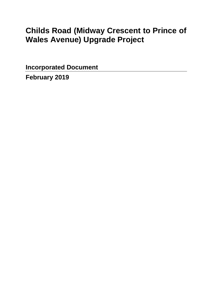# **Childs Road (Midway Crescent to Prince of Wales Avenue) Upgrade Project**

**Incorporated Document**

**February 2019**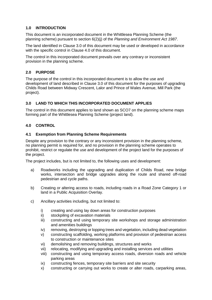# **1.0 INTRODUCTION**

This document is an incorporated document in the Whittlesea Planning Scheme (the planning scheme) pursuant to section 6(2)(j) of the *Planning and Environment Act 1987*.

The land identified in Clause 3.0 of this document may be used or developed in accordance with the specific control in Clause 4.0 of this document.

The control in this incorporated document prevails over any contrary or inconsistent provision in the planning scheme.

# **2.0 PURPOSE**

The purpose of the control in this incorporated document is to allow the use and development of land described in Clause 3.0 of this document for the purposes of upgrading Childs Road between Midway Crescent, Lalor and Prince of Wales Avenue, Mill Park (the project).

# **3.0 LAND TO WHICH THIS INCORPORATED DOCUMENT APPLIES**

The control in this document applies to land shown as SCO7 on the planning scheme maps forming part of the Whittlesea Planning Scheme (project land).

# **4.0 CONTROL**

## **4.1 Exemption from Planning Scheme Requirements**

Despite any provision to the contrary or any inconsistent provision in the planning scheme, no planning permit is required for, and no provision in the planning scheme operates to prohibit, restrict or regulate the use and development of the project land for the purposes of the project.

The project includes, but is not limited to, the following uses and development:

- a) Roadworks including the upgrading and duplication of Childs Road, new bridge works, intersection and bridge upgrades along the route and shared off-road pedestrian and cycle paths.
- b) Creating or altering access to roads, including roads in a Road Zone Category 1 or land in a Public Acquisition Overlay.
- c) Ancillary activities including, but not limited to:
	- i) creating and using lay down areas for construction purposes
	- ii) stockpiling of excavation materials
	- iii) constructing and using temporary site workshops and storage administration and amenities buildings
	- iv) removing, destroying or lopping trees and vegetation, including dead vegetation
	- v) constructing scaffolding, working platforms and provision of pedestrian access to construction or maintenance sites
	- vi) demolishing and removing buildings, structures and works
	- vii) relocating, modifying and upgrading and installing services and utilities
	- viii) constructing and using temporary access roads, diversion roads and vehicle parking areas
	- ix) constructing fences, temporary site barriers and site security
	- x) constructing or carrying out works to create or alter roads, carparking areas,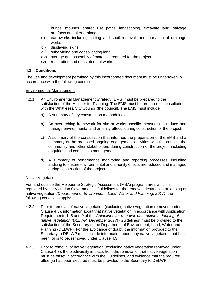bunds, mounds, shared use paths, landscaping, excavate land, salvage artefacts and alter drainage

- xi) earthworks including cutting and spoil removal, and formation of drainage works
- xii) displaying signs
- xiii) subdividing and consolidating land
- xiv) storage and assembly of materials required for the project
- xv) restoration and reinstatement works.

## **4.2 Conditions**

The use and development permitted by this incorporated document must be undertaken in accordance with the following conditions:

#### Environmental Management

- 4.2.1 An Environmental Management Strategy (EMS) must be prepared to the satisfaction of the Minister for Planning. The EMS must be prepared in consultation with the Whittlesea City Council (the council). The EMS must include:
	- a) A summary of key construction methodologies.
	- b) An overarching framework for site or works specific measures to reduce and manage environmental and amenity effects during construction of the project.
	- c) A summary of the consultation that informed the preparation of the EMS and a summary of the proposed ongoing engagement activities with the council, the community and other stakeholders during construction of the project, including enquiries and complaints management.
	- d) A summary of performance monitoring and reporting processes, including auditing to ensure environmental and amenity effects are reduced and managed during construction of the project.

### Native Vegetation

For land outside the Melbourne Strategic Assessment (MSA) program area which is regulated by the Victorian Government's Guidelines for the removal, destruction or lopping of native vegetation *(Department of Environment, Land, Water and Planning, 2017)*, the following conditions apply:

- 4.2.2 Prior to removal of native vegetation (excluding native vegetation removed under Clause 4.3), information about that native vegetation in accordance with Application Requirements 1, 5 and 9 of the *Guidelines for removal, destruction or lopping of native vegetation (DELWP, December 2017)* (Guidelines) must be provided to the satisfaction of the Secretary to the Department of Environment, Land, Water and Planning (DELWP). For the avoidance of doubt, the information provided to the Secretary to DELWP must include information about any native vegetation that has been, or is to be, removed under Clause 4.3.
- 4.2.3 Prior to removal of native vegetation (excluding native vegetation removed under Clause 4.3), the biodiversity impacts from the removal of that native vegetation must be offset in accordance with the Guidelines, and evidence that the required offset(s) has been secured must be provided to the Secretary to DELWP.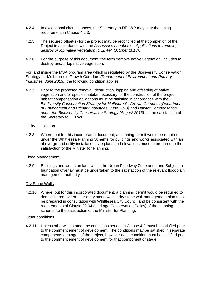- 4.2.4 In exceptional circumstances, the Secretary to DELWP may vary the timing requirement in Clause 4.2.3.
- 4.2.5 The secured offset(s) for the project may be reconciled at the completion of the Project in accordance with the *Assessor's handbook – Applications to remove, destroy or lop native vegetation (DELWP, October 2018)*.
- 4.2.6 For the purpose of this document, the term 'remove native vegetation' includes to destroy and/or lop native vegetation.

For land inside the MSA program area which is regulated by the Biodiversity Conservation Strategy for Melbourne's Growth Corridors *(Department of Environment and Primary Industries, June 2013)*, the following condition applies:

4.2.7 Prior to the proposed removal, destruction, lopping and offsetting of native vegetation and/or species habitat necessary for the construction of the project, habitat compensation obligations must be satisfied in accordance with the *Biodiversity Conservation Strategy for Melbourne's Growth Corridors (Department of Environment and Primary Industries, June 2013)* and *Habitat Compensation under the Biodiversity Conservation Strategy (August 2013),* to the satisfaction of the Secretary to DELWP.

#### Utility Installation

4.2.8 Where, but for this incorporated document, a planning permit would be required under the Whittlesea Planning Scheme for buildings and works associated with an above-ground utility installation, site plans and elevations must be prepared to the satisfaction of the Minister for Planning.

#### Flood Management

4.2.9 Buildings and works on land within the Urban Floodway Zone and Land Subject to Inundation Overlay must be undertaken to the satisfaction of the relevant floodplain management authority.

### Dry Stone Walls

4.2.10 Where, but for this incorporated document, a planning permit would be required to demolish, remove or alter a dry stone wall, a dry stone wall management plan must be prepared in consultation with Whittlesea City Council and be consistent with the requirements of Clause 22.04 (Heritage Conservation Policy) of the planning scheme, to the satisfaction of the Minister for Planning.

#### Other conditions

4.2.11 Unless otherwise stated, the conditions set out in Clause 4.2 must be satisfied prior to the commencement of development. The conditions may be satisfied in separate components or stages of the project, however each condition must be satisfied prior to the commencement of development for that component or stage.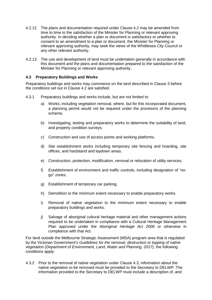- 4.2.12 The plans and documentation required under Clause 4.2 may be amended from time to time to the satisfaction of the Minister for Planning or relevant approving authority. In deciding whether a plan or document is satisfactory or whether to consent to an amendment to a plan or document, the Minister for Planning or relevant approving authority, may seek the views of the Whittlesea City Council or any other relevant authority.
- 4.2.13 The use and development of land must be undertaken generally in accordance with this document and the plans and documentation prepared to the satisfaction of the Minister for Planning or relevant approving authority.

## **4.3 Preparatory Buildings and Works**

Preparatory buildings and works may commence on the land described in Clause 3 before the conditions set out in Clause 4.2 are satisfied.

- 4.3.1 Preparatory buildings and works include, but are not limited to:
	- a) Works, including vegetation removal, where, but for this incorporated document, a planning permit would not be required under the provisions of the planning scheme.
	- b) Investigating, testing and preparatory works to determine the suitability of land, and property condition surveys.
	- c) Construction and use of access points and working platforms.
	- d) Site establishment works including temporary site fencing and hoarding, site offices, and hardstand and laydown areas.
	- e) Construction, protection, modification, removal or relocation of utility services.
	- f) Establishment of environment and traffic controls, including designation of "nogo" zones.
	- g) Establishment of temporary car parking.
	- h) Demolition to the minimum extent necessary to enable preparatory works.
	- i) Removal of native vegetation to the minimum extent necessary to enable preparatory buildings and works.
	- j) Salvage of aboriginal cultural heritage material and other management actions required to be undertaken in compliance with a Cultural Heritage Management Plan approved under the *Aboriginal Heritage Act 2006* or otherwise in compliance with that Act.

For land outside the Melbourne Strategic Assessment (MSA) program area that is regulated by the Victorian Government's *Guidelines for the removal, destruction or lopping of native vegetation (Department of Environment, Land, Water and Planning, 2017)*, the following conditions apply:

4.3.2 Prior to the removal of native vegetation under Clause 4.3, information about the native vegetation to be removed must be provided to the Secretary to DELWP. The information provided to the Secretary to DELWP must include a description of, and